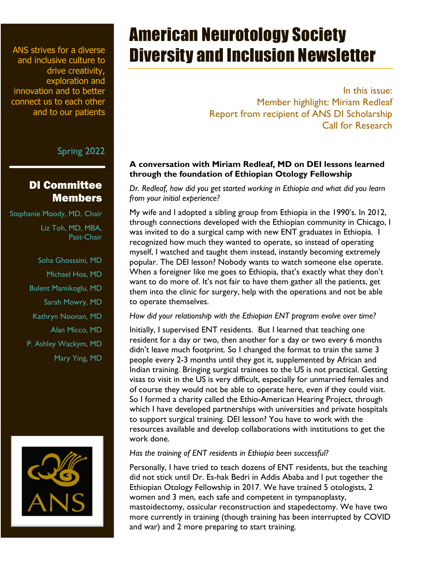ANS strives for a diverse and inclusive culture to drive creativity, exploration and innovation and to better connect us to each other and to our patients

Spring 2022

## DI Committee Members

- Stephanie Moody, MD, Chair
	- Liz Toh, MD, MBA, Past-Chair
	- Soha Ghossaini, MD
		- Michael Hoa, MD
	- Bulent Mamikoglu, MD
		- Sarah Mowry, MD
	- Kathryn Noonan, MD
		- Alan Micco, MD
	- P. Ashley Wackym, MD
		- Mary Ying, MD



# American Neurotology Society Diversity and Inclusion Newsletter

In this issue: Member highlight: Miriam Redleaf Report from recipient of ANS DI Scholarship Call for Research

### **A conversation with Miriam Redleaf, MD on DEI lessons learned through the foundation of Ethiopian Otology Fellowship**

*Dr. Redleaf, how did you get started working in Ethiopia and what did you learn from your initial experience?* 

My wife and I adopted a sibling group from Ethiopia in the 1990's. In 2012, through connections developed with the Ethiopian community in Chicago, I was invited to do a surgical camp with new ENT graduates in Ethiopia. I recognized how much they wanted to operate, so instead of operating myself, I watched and taught them instead, instantly becoming extremely popular. The DEI lesson? Nobody wants to watch someone else operate. When a foreigner like me goes to Ethiopia, that's exactly what they don't want to do more of. It's not fair to have them gather all the patients, get them into the clinic for surgery, help with the operations and not be able to operate themselves.

*How did your relationship with the Ethiopian ENT program evolve over time?*

Initially, I supervised ENT residents. But I learned that teaching one resident for a day or two, then another for a day or two every 6 months didn't leave much footprint. So I changed the format to train the same 3 people every 2-3 months until they got it, supplemented by African and Indian training. Bringing surgical trainees to the US is not practical. Getting visas to visit in the US is very difficult, especially for unmarried females and of course they would not be able to operate here, even if they could visit. So I formed a charity called the Ethio-American Hearing Project, through which I have developed partnerships with universities and private hospitals to support surgical training. DEI lesson? You have to work with the resources available and develop collaborations with institutions to get the work done.

#### *Has the training of ENT residents in Ethiopia been successful?*

Personally, I have tried to teach dozens of ENT residents, but the teaching did not stick until Dr. Es-hak Bedri in Addis Ababa and I put together the Ethiopian Otology Fellowship in 2017. We have trained 5 otologists, 2 women and 3 men, each safe and competent in tympanoplasty, mastoidectomy, ossicular reconstruction and stapedectomy. We have two more currently in training (though training has been interrupted by COVID and war) and 2 more preparing to start training.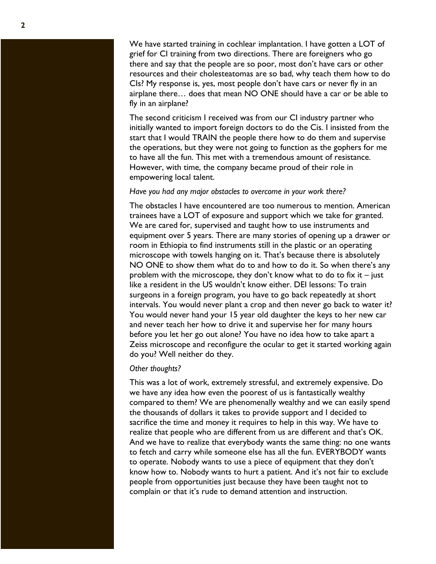We have started training in cochlear implantation. I have gotten a LOT of grief for CI training from two directions. There are foreigners who go there and say that the people are so poor, most don't have cars or other resources and their cholesteatomas are so bad, why teach them how to do CIs? My response is, yes, most people don't have cars or never fly in an airplane there… does that mean NO ONE should have a car or be able to fly in an airplane?

The second criticism I received was from our CI industry partner who initially wanted to import foreign doctors to do the C i s. I insisted from the start that I would TRAIN the people there how to do them and supervise the operations, but they were not going to function as the gophers for me to have all the fun. This met with a tremendous amount of resistance. However, with time, the company became proud of their role in empowering local talent.

#### *Have you had any major obstacles to overcome in your work there?*

The obstacles I have encountered are too numerous to mention. American trainees have a LOT of exposure and support which we take for granted. We are cared for, supervised and taught how to use instruments and equipment over 5 years. There are many stories of opening up a drawer or room in Ethiopia to find instruments still in the plastic or an operating microscope with towels hanging on it. That's because there is absolutely NO ONE to show them what do to and how to do it. So when there's any problem with the microscope, they don't know what to do to fix it – just like a resident in the US wouldn't know either. DEI lessons: To train surgeons in a foreign program, you have to go back repeatedly at short intervals. You would never plant a crop and then never go back to water it? You would never hand your 15 year old daughter the keys to her new car and never teach her how to drive it and supervise her for many hours before you let her go out alone? You have no idea how to take apart a Zeiss microscope and reconfigure the ocular to get it started working again do you? Well neither do they.

#### *Other thoughts?*

This was a lot of work, extremely stressful, and extremely expensive. Do we have any idea how even the poorest of us is fantastically wealthy compared to them? We are phenomenally wealthy and we can easily spend the thousands of dollars it takes to provide support and I decided to sacrifice the time and money it requires to help in this way. We have to realize that people who are different from us are different and that's OK. And we have to realize that everybody wants the same thing: no one wants to fetch and carry while someone else has all the fun. EVERYBODY wants to operate. Nobody wants to use a piece of equipment that they don't know how to. Nobody wants to hurt a patient. And it's not fair to exclude people from opportunities just because they have been taught not to complain or that it's rude to demand attention and instruction.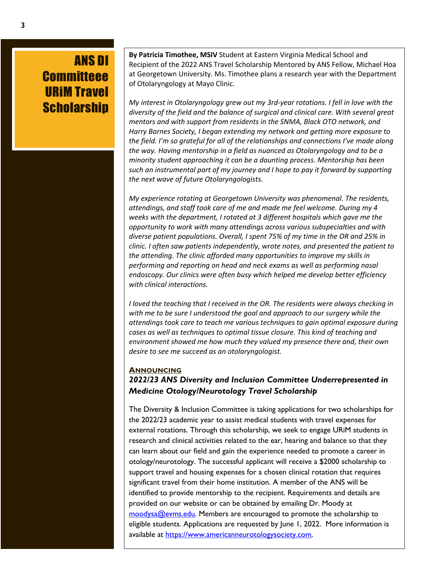# ANS DI **Committeee** URiM Travel **Scholarship**

 **By Patricia Timothee, MSIV** Student at Eastern Virginia Medical School and Recipient of the 2022 ANS Travel Scholarship Mentored by ANS Fellow, Michael Hoa at Georgetown University. Ms. Timothee plans a research year with the Department of Otolaryngology at Mayo Clinic.

*My interest in Otolaryngology grew out my 3rd-year rotations. I fell in love with the diversity of the field and the balance of surgical and clinical care. With several great mentors and with support from residents in the SNMA, Black OTO network, and Harry Barnes Society, I began extending my network and getting more exposure to the field. I'm so grateful for all of the relationships and connections I've made along the way. Having mentorship in a field as nuanced as Otolaryngology and to be a minority student approaching it can be a daunting process. Mentorship has been such an instrumental part of my journey and I hope to pay it forward by supporting the next wave of future Otolaryngologists.*

*My experience rotating at Georgetown University was phenomenal. The residents, attendings, and staff took care of me and made me feel welcome. During my 4 weeks with the department, I rotated at 3 different hospitals which gave me the opportunity to work with many attendings across various subspecialties and with diverse patient populations. Overall, I spent 75% of my time in the OR and 25% in clinic. I often saw patients independently, wrote notes, and presented the patient to the attending. The clinic afforded many opportunities to improve my skills in performing and reporting on head and neck exams as well as performing nasal endoscopy. Our clinics were often busy which helped me develop better efficiency with clinical interactions.*

*I loved the teaching that I received in the OR. The residents were always checking in with me to be sure I understood the goal and approach to our surgery while the attendings took care to teach me various techniques to gain optimal exposure during cases as well as techniques to optimal tissue closure. This kind of teaching and environment showed me how much they valued my presence there and, their own desire to see me succeed as an otolaryngologist.*

#### **ANNOUNCING**

### *2022/23 ANS Diversity and Inclusion Committee Underrepresented in Medicine Otology/Neurotology Travel Scholarship*

The Diversity & Inclusion Committee is taking applications for two scholarships for the 2022/23 academic year to assist medical students with travel expenses for external rotations. Through this scholarship, we seek to engage URiM students in research and clinical activities related to the ear, hearing and balance so that they can learn about our field and gain the experience needed to promote a career in otology/neurotology. The successful applicant will receive a \$2000 scholarship to support travel and housing expenses for a chosen clinical rotation that requires significant travel from their home institution. A member of the ANS will be identified to provide mentorship to the recipient. Requirements and details are provided on our website or can be obtained by emailing Dr. Moody at moodysa@evms.edu. Members are encouraged to promote the scholarship to eligible students. Applications are requested by June 1, 2022. More information is available at https://www.americanneurotologysociety.com.